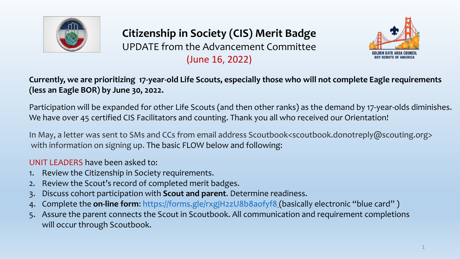

## **Citizenship in Society (CIS) Merit Badge**

UPDATE from the Advancement Committee (June 16, 2022)



**Currently, we are prioritizing 17-year-old Life Scouts, especially those who will not complete Eagle requirements (less an Eagle BOR) by June 30, 2022.** 

Participation will be expanded for other Life Scouts (and then other ranks) as the demand by 17-year-olds diminishes. We have over 45 certified CIS Facilitators and counting. Thank you all who received our Orientation!

In May, a letter was sent to SMs and CCs from email address Scoutbook<scoutbook.donotreply@scouting.org> with information on signing up. The basic FLOW below and following:

UNIT LEADERS have been asked to:

- 1. Review the Citizenship in Society requirements.
- 2. Review the Scout's record of completed merit badges.
- 3. Discuss cohort participation with **Scout and parent**. Determine readiness.
- 4. Complete the **on-line form**:<https://forms.gle/rxgjH2zU8b8aofyf8> (basically electronic "blue card" )
- 5. Assure the parent connects the Scout in Scoutbook. All communication and requirement completions will occur through Scoutbook.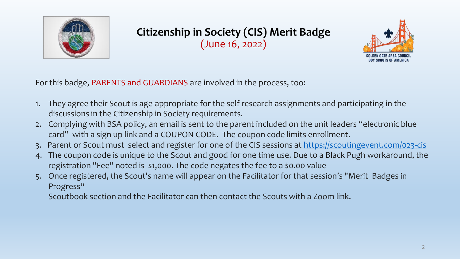

## **Citizenship in Society (CIS) Merit Badge** (June 16, 2022)



For this badge, PARENTS and GUARDIANS are involved in the process, too:

- 1. They agree their Scout is age-appropriate for the self research assignments and participating in the discussions in the Citizenship in Society requirements.
- 2. Complying with BSA policy, an email is sent to the parent included on the unit leaders "electronic blue card" with a sign up link and a COUPON CODE. The coupon code limits enrollment.
- 3. Parent or Scout must select and register for one of the CIS sessions at <https://scoutingevent.com/023-cis>
- 4. The coupon code is unique to the Scout and good for one time use. Due to a Black Pugh workaround, the registration "Fee" noted is \$1,000. The code negates the fee to a \$0.00 value
- 5. Once registered, the Scout's name will appear on the Facilitator for that session's "Merit Badges in Progress"

Scoutbook section and the Facilitator can then contact the Scouts with a Zoom link.